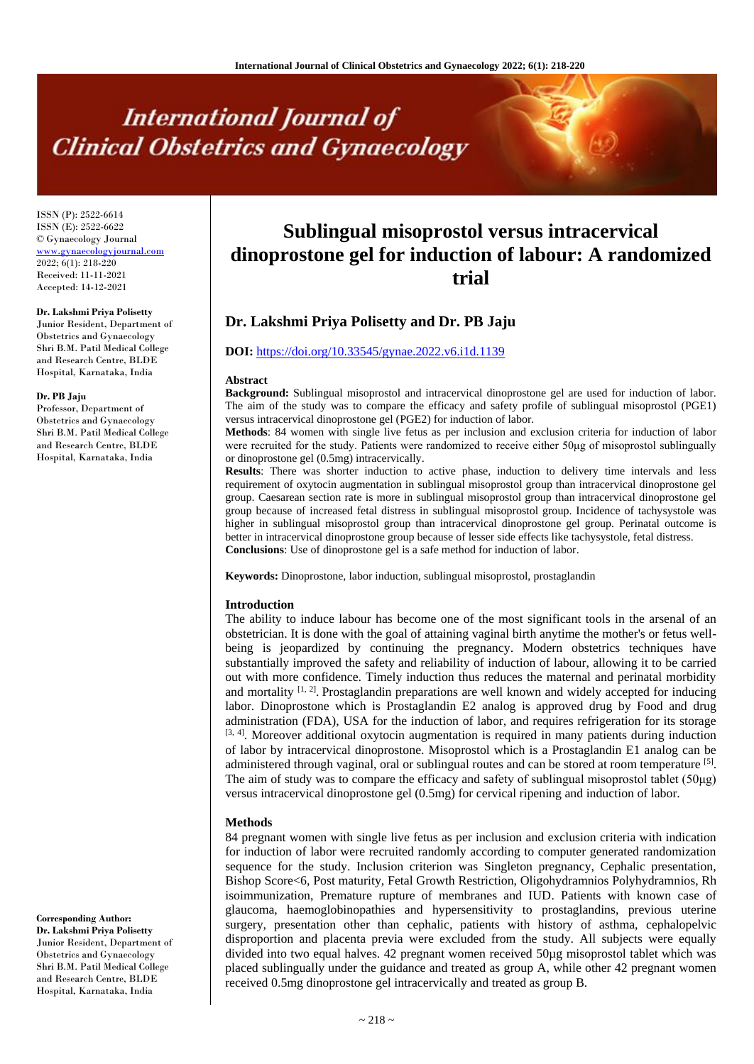# **International Journal of Clinical Obstetrics and Gynaecology**

ISSN (P): 2522-6614 ISSN (E): 2522-6622 © Gynaecology Journal <www.gynaecologyjournal.com> 2022; 6(1): 218-220 Received: 11-11-2021 Accepted: 14-12-2021

#### **Dr. Lakshmi Priya Polisetty**

Junior Resident, Department of Obstetrics and Gynaecology Shri B.M. Patil Medical College and Research Centre, BLDE Hospital, Karnataka, India

#### **Dr. PB Jaju**

Professor, Department of Obstetrics and Gynaecology Shri B.M. Patil Medical College and Research Centre, BLDE Hospital, Karnataka, India

**Corresponding Author: Dr. Lakshmi Priya Polisetty** Junior Resident, Department of Obstetrics and Gynaecology Shri B.M. Patil Medical College and Research Centre, BLDE Hospital, Karnataka, India

# **Sublingual misoprostol versus intracervical dinoprostone gel for induction of labour: A randomized trial**

# **Dr. Lakshmi Priya Polisetty and Dr. PB Jaju**

## **DOI:** <https://doi.org/10.33545/gynae.2022.v6.i1d.1139>

#### **Abstract**

**Background:** Sublingual misoprostol and intracervical dinoprostone gel are used for induction of labor. The aim of the study was to compare the efficacy and safety profile of sublingual misoprostol (PGE1) versus intracervical dinoprostone gel (PGE2) for induction of labor.

**Methods**: 84 women with single live fetus as per inclusion and exclusion criteria for induction of labor were recruited for the study. Patients were randomized to receive either 50μg of misoprostol sublingually or dinoprostone gel (0.5mg) intracervically.

**Results**: There was shorter induction to active phase, induction to delivery time intervals and less requirement of oxytocin augmentation in sublingual misoprostol group than intracervical dinoprostone gel group. Caesarean section rate is more in sublingual misoprostol group than intracervical dinoprostone gel group because of increased fetal distress in sublingual misoprostol group. Incidence of tachysystole was higher in sublingual misoprostol group than intracervical dinoprostone gel group. Perinatal outcome is better in intracervical dinoprostone group because of lesser side effects like tachysystole, fetal distress. **Conclusions**: Use of dinoprostone gel is a safe method for induction of labor.

**Keywords:** Dinoprostone, labor induction, sublingual misoprostol, prostaglandin

#### **Introduction**

The ability to induce labour has become one of the most significant tools in the arsenal of an obstetrician. It is done with the goal of attaining vaginal birth anytime the mother's or fetus wellbeing is jeopardized by continuing the pregnancy. Modern obstetrics techniques have substantially improved the safety and reliability of induction of labour, allowing it to be carried out with more confidence. Timely induction thus reduces the maternal and perinatal morbidity and mortality  $[1, 2]$ . Prostaglandin preparations are well known and widely accepted for inducing labor. Dinoprostone which is Prostaglandin E2 analog is approved drug by Food and drug administration (FDA), USA for the induction of labor, and requires refrigeration for its storage [3, 4]. Moreover additional oxytocin augmentation is required in many patients during induction of labor by intracervical dinoprostone. Misoprostol which is a Prostaglandin E1 analog can be administered through vaginal, oral or sublingual routes and can be stored at room temperature [5]. The aim of study was to compare the efficacy and safety of sublingual misoprostol tablet (50μg) versus intracervical dinoprostone gel (0.5mg) for cervical ripening and induction of labor.

#### **Methods**

84 pregnant women with single live fetus as per inclusion and exclusion criteria with indication for induction of labor were recruited randomly according to computer generated randomization sequence for the study. Inclusion criterion was Singleton pregnancy, Cephalic presentation, Bishop Score<6, Post maturity, Fetal Growth Restriction, Oligohydramnios Polyhydramnios, Rh isoimmunization, Premature rupture of membranes and IUD. Patients with known case of glaucoma, haemoglobinopathies and hypersensitivity to prostaglandins, previous uterine surgery, presentation other than cephalic, patients with history of asthma, cephalopelvic disproportion and placenta previa were excluded from the study. All subjects were equally divided into two equal halves. 42 pregnant women received 50µg misoprostol tablet which was placed sublingually under the guidance and treated as group A, while other 42 pregnant women received 0.5mg dinoprostone gel intracervically and treated as group B.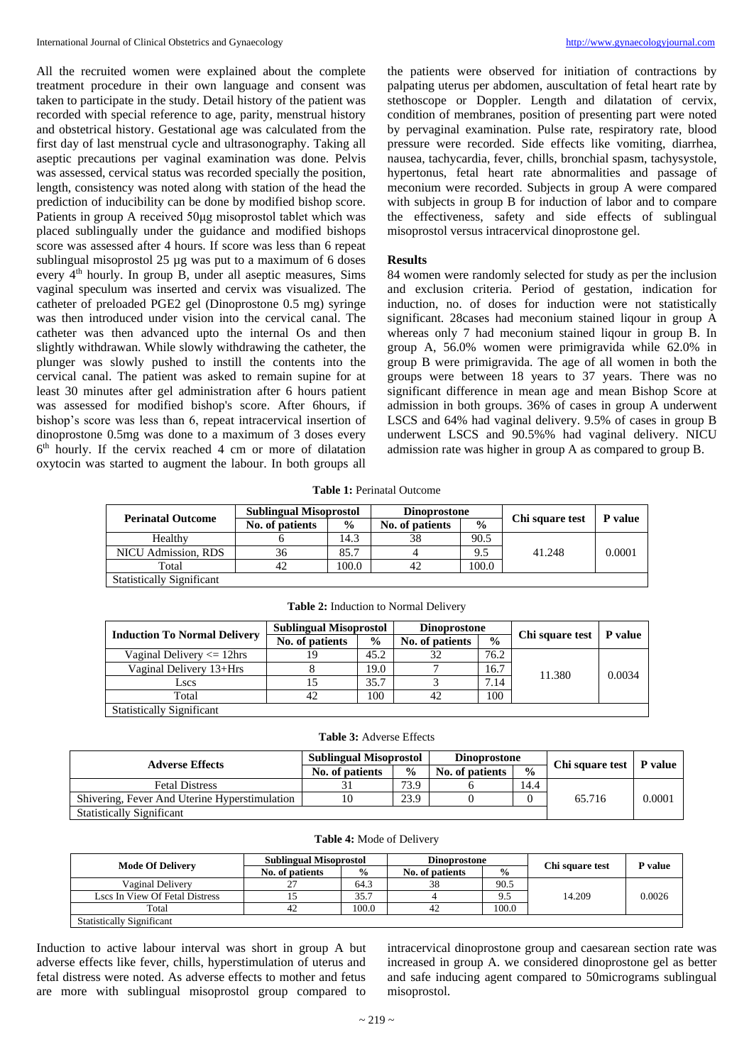All the recruited women were explained about the complete treatment procedure in their own language and consent was taken to participate in the study. Detail history of the patient was recorded with special reference to age, parity, menstrual history and obstetrical history. Gestational age was calculated from the first day of last menstrual cycle and ultrasonography. Taking all aseptic precautions per vaginal examination was done. Pelvis was assessed, cervical status was recorded specially the position, length, consistency was noted along with station of the head the prediction of inducibility can be done by modified bishop score. Patients in group A received 50μg misoprostol tablet which was placed sublingually under the guidance and modified bishops score was assessed after 4 hours. If score was less than 6 repeat sublingual misoprostol 25 µg was put to a maximum of 6 doses every 4<sup>th</sup> hourly. In group B, under all aseptic measures, Sims vaginal speculum was inserted and cervix was visualized. The catheter of preloaded PGE2 gel (Dinoprostone 0.5 mg) syringe was then introduced under vision into the cervical canal. The catheter was then advanced upto the internal Os and then slightly withdrawan. While slowly withdrawing the catheter, the plunger was slowly pushed to instill the contents into the cervical canal. The patient was asked to remain supine for at least 30 minutes after gel administration after 6 hours patient was assessed for modified bishop's score. After 6hours, if bishop's score was less than 6, repeat intracervical insertion of dinoprostone 0.5mg was done to a maximum of 3 doses every 6 th hourly. If the cervix reached 4 cm or more of dilatation oxytocin was started to augment the labour. In both groups all

the patients were observed for initiation of contractions by palpating uterus per abdomen, auscultation of fetal heart rate by stethoscope or Doppler. Length and dilatation of cervix, condition of membranes, position of presenting part were noted by pervaginal examination. Pulse rate, respiratory rate, blood pressure were recorded. Side effects like vomiting, diarrhea, nausea, tachycardia, fever, chills, bronchial spasm, tachysystole, hypertonus, fetal heart rate abnormalities and passage of meconium were recorded. Subjects in group A were compared with subjects in group B for induction of labor and to compare the effectiveness, safety and side effects of sublingual misoprostol versus intracervical dinoprostone gel.

## **Results**

84 women were randomly selected for study as per the inclusion and exclusion criteria. Period of gestation, indication for induction, no. of doses for induction were not statistically significant. 28cases had meconium stained liqour in group A whereas only 7 had meconium stained liqour in group B. In group A, 56.0% women were primigravida while 62.0% in group B were primigravida. The age of all women in both the groups were between 18 years to 37 years. There was no significant difference in mean age and mean Bishop Score at admission in both groups. 36% of cases in group A underwent LSCS and 64% had vaginal delivery. 9.5% of cases in group B underwent LSCS and 90.5%% had vaginal delivery. NICU admission rate was higher in group A as compared to group B.

**Table 1:** Perinatal Outcome

| <b>Perinatal Outcome</b>         | <b>Sublingual Misoprostol</b> |               | <b>Dinoprostone</b> |               |                 |         |
|----------------------------------|-------------------------------|---------------|---------------------|---------------|-----------------|---------|
|                                  | No. of patients               | $\frac{0}{0}$ | No. of patients     | $\frac{0}{0}$ | Chi square test | P value |
| Healthy                          |                               | 14.3          | 38                  | 90.5          |                 |         |
| NICU Admission, RDS              | 36                            | 85.7          |                     | 9.5           | 41.248          | 0.0001  |
| Total                            | 42                            | 100.0         | 42                  | 100.0         |                 |         |
| <b>Statistically Significant</b> |                               |               |                     |               |                 |         |

| <b>Induction To Normal Delivery</b> | <b>Sublingual Misoprostol</b> |               | <b>Dinoprostone</b> |               |                 | P value |
|-------------------------------------|-------------------------------|---------------|---------------------|---------------|-----------------|---------|
|                                     | No. of patients               | $\frac{0}{0}$ | No. of patients     | $\frac{0}{0}$ | Chi square test |         |
| Vaginal Delivery $\leq$ 12hrs       | 19                            | 45.2          | 32                  | 76.2          |                 | 0.0034  |
| Vaginal Delivery 13+Hrs             |                               | 19.0          |                     | 16.7          | 11.380          |         |
| Lscs                                |                               | 35.7          |                     | 7.14          |                 |         |
| Total                               | 42                            | 100           |                     | 100           |                 |         |
| <b>Statistically Significant</b>    |                               |               |                     |               |                 |         |

**Table 2:** Induction to Normal Delivery

**Table 3:** Adverse Effects

| <b>Adverse Effects</b>                        | <b>Sublingual Misoprostol</b> |               | <b>Dinoprostone</b> |               |                           |        |
|-----------------------------------------------|-------------------------------|---------------|---------------------|---------------|---------------------------|--------|
|                                               | No. of patients               | $\frac{0}{0}$ | No. of patients     | $\frac{0}{0}$ | Chi square test   P value |        |
| <b>Fetal Distress</b>                         |                               | 73.9          |                     | 14.4          |                           |        |
| Shivering, Fever And Uterine Hyperstimulation | 10                            | 23.9          |                     |               | 65.716                    | 0.0001 |
| <b>Statistically Significant</b>              |                               |               |                     |               |                           |        |

| <b>Mode Of Delivery</b>          | <b>Sublingual Misoprostol</b> |               | Dinoprostone    |               | Chi square test | P value |
|----------------------------------|-------------------------------|---------------|-----------------|---------------|-----------------|---------|
|                                  | No. of patients               | $\frac{0}{0}$ | No. of patients | $\frac{0}{0}$ |                 |         |
| Vaginal Delivery                 | $\mathcal{L}$<br>، ت          | 64.3          | 38              | 90.5          |                 |         |
| Lscs In View Of Fetal Distress   |                               | 35.7          |                 | 9.5           | 14.209          | 0.0026  |
| Total                            |                               | 100.0         | 42              | 100.0         |                 |         |
| <b>Statistically Significant</b> |                               |               |                 |               |                 |         |

Induction to active labour interval was short in group A but adverse effects like fever, chills, hyperstimulation of uterus and fetal distress were noted. As adverse effects to mother and fetus are more with sublingual misoprostol group compared to

intracervical dinoprostone group and caesarean section rate was increased in group A. we considered dinoprostone gel as better and safe inducing agent compared to 50micrograms sublingual misoprostol.